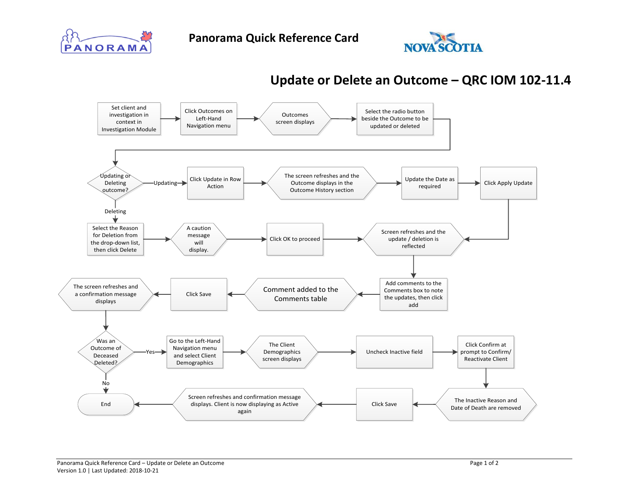



## **Update or Delete an Outcome – QRC IOM 102-11.4**